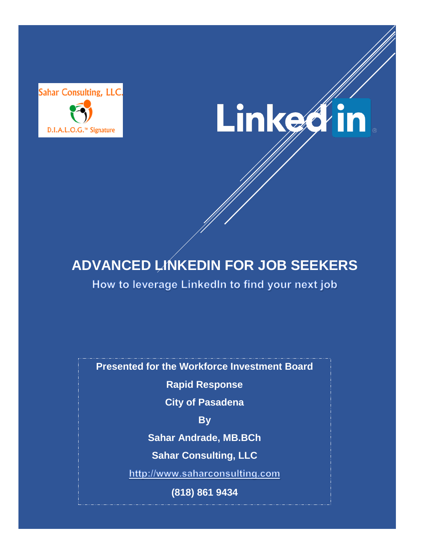



# **ADVANCED LINKEDIN FOR JOB SEEKERS**

How to leverage LinkedIn to find your next job

**Presented for the Workforce Investment Board**

**Rapid Response**

**City of Pasadena**

**By**

**Sahar Andrade, MB.BCh**

**Sahar Consulting, LLC**

http://www.saharconsulting.com

**(818) 861 9434**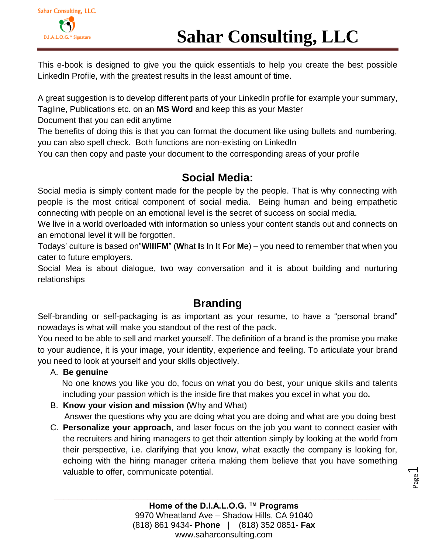# Sahar Consulting, LLC. D.I.A.L.O.G.™ Signature

This e-book is designed to give you the quick essentials to help you create the best possible LinkedIn Profile, with the greatest results in the least amount of time.

A great suggestion is to develop different parts of your LinkedIn profile for example your summary,

Tagline, Publications etc. on an **MS Word** and keep this as your Master

Document that you can edit anytime

The benefits of doing this is that you can format the document like using bullets and numbering, you can also spell check. Both functions are non-existing on LinkedIn

You can then copy and paste your document to the corresponding areas of your profile

## **Social Media:**

Social media is simply content made for the people by the people. That is why connecting with people is the most critical component of social media. Being human and being empathetic connecting with people on an emotional level is the secret of success on social media.

We live in a world overloaded with information so unless your content stands out and connects on an emotional level it will be forgotten.

Todays' culture is based on"**WIIIFM**" (**W**hat **I**s **I**n **I**t **F**or **M**e) – you need to remember that when you cater to future employers.

Social Mea is about dialogue, two way conversation and it is about building and nurturing relationships

## **Branding**

Self-branding or self-packaging is as important as your resume, to have a "personal brand" nowadays is what will make you standout of the rest of the pack.

You need to be able to sell and market yourself. The definition of a brand is the promise you make to your audience, it is your image, your identity, experience and feeling. To articulate your brand you need to look at yourself and your skills objectively.

### A. **Be genuine**

 No one knows you like you do, focus on what you do best, your unique skills and talents including your passion which is the inside fire that makes you excel in what you do**.** 

- B. **Know your vision and mission** (Why and What) Answer the questions why you are doing what you are doing and what are you doing best
- C. **Personalize your approach**, and laser focus on the job you want to connect easier with the recruiters and hiring managers to get their attention simply by looking at the world from their perspective, i.e. clarifying that you know, what exactly the company is looking for, echoing with the hiring manager criteria making them believe that you have something valuable to offer, communicate potential.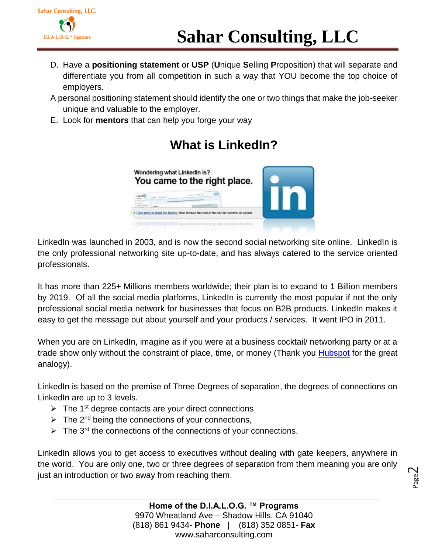

- D. Have a **positioning statement** or **USP** (**U**nique **S**elling **P**roposition) that will separate and differentiate you from all competition in such a way that YOU become the top choice of employers.
- A personal positioning statement should identify the one or two things that make the job-seeker unique and valuable to the employer.
- E. Look for **mentors** that can help you forge your way

# Wondering what LinkedIn is? You came to the right place. Click here to learn the basics, then browse the rest of the site to become an expert

## **What is LinkedIn?**

LinkedIn was launched in 2003, and is now the second social networking site online. LinkedIn is the only professional networking site up-to-date, and has always catered to the service oriented professionals.

It has more than 225+ Millions members worldwide; their plan is to expand to 1 Billion members by 2019. Of all the social media platforms, LinkedIn is currently the most popular if not the only professional social media network for businesses that focus on B2B products. LinkedIn makes it easy to get the message out about yourself and your products / services. It went IPO in 2011.

When you are on LinkedIn, imagine as if you were at a business cocktail/ networking party or at a trade show only without the constraint of place, time, or money (Thank you **Hubspot** for the great analogy).

LinkedIn is based on the premise of Three Degrees of separation, the degrees of connections on LinkedIn are up to 3 levels.

- $\triangleright$  The 1<sup>st</sup> degree contacts are your direct connections
- $\triangleright$  The 2<sup>nd</sup> being the connections of your connections,
- $\triangleright$  The 3<sup>rd</sup> the connections of the connections of your connections.

LinkedIn allows you to get access to executives without dealing with gate keepers, anywhere in the world. You are only one, two or three degrees of separation from them meaning you are only just an introduction or two away from reaching them.

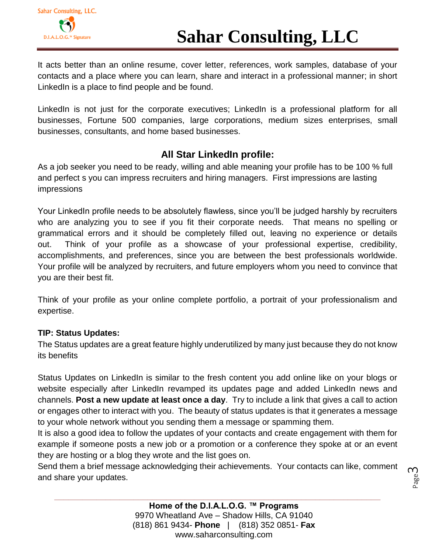

It acts better than an online resume, cover letter, references, work samples, database of your contacts and a place where you can learn, share and interact in a professional manner; in short LinkedIn is a place to find people and be found.

LinkedIn is not just for the corporate executives; LinkedIn is a professional platform for all businesses, Fortune 500 companies, large corporations, medium sizes enterprises, small businesses, consultants, and home based businesses.

### **All Star LinkedIn profile:**

As a job seeker you need to be ready, willing and able meaning your profile has to be 100 % full and perfect s you can impress recruiters and hiring managers. First impressions are lasting impressions

Your LinkedIn profile needs to be absolutely flawless, since you'll be judged harshly by recruiters who are analyzing you to see if you fit their corporate needs. That means no spelling or grammatical errors and it should be completely filled out, leaving no experience or details out. Think of your profile as a showcase of your professional expertise, credibility, accomplishments, and preferences, since you are between the best professionals worldwide. Your profile will be analyzed by recruiters, and future employers whom you need to convince that you are their best fit.

Think of your profile as your online complete portfolio, a portrait of your professionalism and expertise.

#### **TIP: Status Updates:**

The Status updates are a great feature highly underutilized by many just because they do not know its benefits

Status Updates on LinkedIn is similar to the fresh content you add online like on your blogs or website especially after LinkedIn revamped its updates page and added LinkedIn news and channels. **Post a new update at least once a day**. Try to include a link that gives a call to action or engages other to interact with you. The beauty of status updates is that it generates a message to your whole network without you sending them a message or spamming them.

It is also a good idea to follow the updates of your contacts and create engagement with them for example if someone posts a new job or a promotion or a conference they spoke at or an event they are hosting or a blog they wrote and the list goes on.

Send them a brief message acknowledging their achievements. Your contacts can like, comment and share your updates.

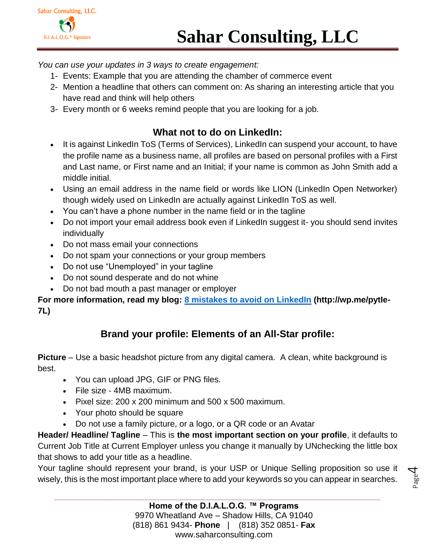*You can use your updates in 3 ways to create engagement:*

- 1- Events: Example that you are attending the chamber of commerce event
- 2- Mention a headline that others can comment on: As sharing an interesting article that you have read and think will help others
- 3- Every month or 6 weeks remind people that you are looking for a job.

### **What not to do on LinkedIn:**

- It is against LinkedIn ToS (Terms of Services), LinkedIn can suspend your account, to have the profile name as a business name, all profiles are based on personal profiles with a First and Last name, or First name and an Initial; if your name is common as John Smith add a middle initial.
- Using an email address in the name field or words like LION (LinkedIn Open Networker) though widely used on LinkedIn are actually against LinkedIn ToS as well.
- You can't have a phone number in the name field or in the tagline
- Do not import your email address book even if LinkedIn suggest it- you should send invites individually
- Do not mass email your connections
- Do not spam your connections or your group members
- Do not use "Unemployed" in your tagline
- Do not sound desperate and do not whine
- Do not bad mouth a past manager or employer

**For more information, read my blog: [8 mistakes to avoid on LinkedIn](http://wp.me/pytIe-7L) (http://wp.me/pytIe-7L)**

### **Brand your profile: Elements of an All-Star profile:**

**Picture** – Use a basic headshot picture from any digital camera. A clean, white background is best.

- You can upload JPG, GIF or PNG files.
- File size 4MB maximum.
- Pixel size: 200 x 200 minimum and 500 x 500 maximum.
- Your photo should be square
- Do not use a family picture, or a logo, or a QR code or an Avatar

**Header/ Headline/ Tagline** – This is **the most important section on your profile**, it defaults to Current Job Title at Current Employer unless you change it manually by UNchecking the little box that shows to add your title as a headline.

Your tagline should represent your brand, is your USP or Unique Selling proposition so use it wisely, this is the most important place where to add your keywords so you can appear in searches.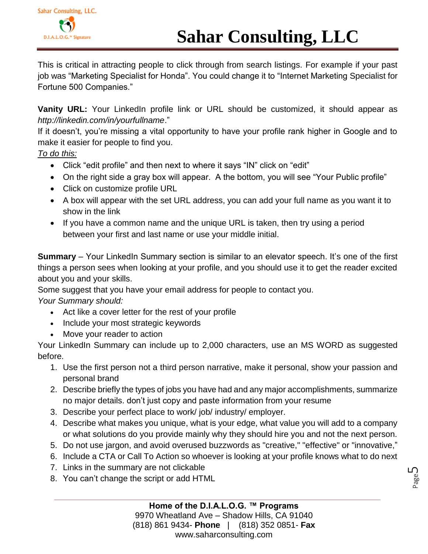This is critical in attracting people to click through from search listings. For example if your past job was "Marketing Specialist for Honda". You could change it to "Internet Marketing Specialist for Fortune 500 Companies."

**Vanity URL:** Your LinkedIn profile link or URL should be customized, it should appear as *http://linkedin.com/in/yourfullname*."

If it doesn't, you're missing a vital opportunity to have your profile rank higher in Google and to make it easier for people to find you.

*To do this:*

- Click "edit profile" and then next to where it says "IN" click on "edit"
- On the right side a gray box will appear. A the bottom, you will see "Your Public profile"
- Click on customize profile URL
- A box will appear with the set URL address, you can add your full name as you want it to show in the link
- If you have a common name and the unique URL is taken, then try using a period between your first and last name or use your middle initial.

**Summary** – Your LinkedIn Summary section is similar to an elevator speech. It's one of the first things a person sees when looking at your profile, and you should use it to get the reader excited about you and your skills.

Some suggest that you have your email address for people to contact you.

*Your Summary should:*

- Act like a cover letter for the rest of your profile
- Include your most strategic keywords
- Move your reader to action

Your LinkedIn Summary can include up to 2,000 characters, use an MS WORD as suggested before.

- 1. Use the first person not a third person narrative, make it personal, show your passion and personal brand
- 2. Describe briefly the types of jobs you have had and any major accomplishments, summarize no major details. don't just copy and paste information from your resume
- 3. Describe your perfect place to work/ job/ industry/ employer.
- 4. Describe what makes you unique, what is your edge, what value you will add to a company or what solutions do you provide mainly why they should hire you and not the next person.
- 5. Do not use jargon, and avoid overused buzzwords as "creative," "effective" or "innovative,"
- 6. Include a CTA or Call To Action so whoever is looking at your profile knows what to do next

Page ഥ

- 7. Links in the summary are not clickable
- 8. You can't change the script or add HTML

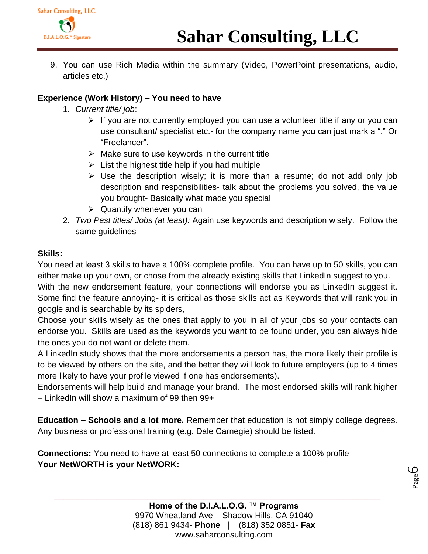

9. You can use Rich Media within the summary (Video, PowerPoint presentations, audio, articles etc.)

#### **Experience (Work History) – You need to have**

- 1. *Current title/ job*:
	- $\triangleright$  If you are not currently employed you can use a volunteer title if any or you can use consultant/ specialist etc.- for the company name you can just mark a "." Or "Freelancer".
	- $\triangleright$  Make sure to use keywords in the current title
	- $\triangleright$  List the highest title help if you had multiple
	- $\triangleright$  Use the description wisely; it is more than a resume; do not add only job description and responsibilities- talk about the problems you solved, the value you brought- Basically what made you special
	- $\triangleright$  Quantify whenever you can
- 2. *Two Past titles/ Jobs (at least):* Again use keywords and description wisely. Follow the same guidelines

#### **Skills:**

You need at least 3 skills to have a 100% complete profile. You can have up to 50 skills, you can either make up your own, or chose from the already existing skills that LinkedIn suggest to you.

With the new endorsement feature, your connections will endorse you as LinkedIn suggest it. Some find the feature annoying- it is critical as those skills act as Keywords that will rank you in google and is searchable by its spiders,

Choose your skills wisely as the ones that apply to you in all of your jobs so your contacts can endorse you. Skills are used as the keywords you want to be found under, you can always hide the ones you do not want or delete them.

A LinkedIn study shows that the more endorsements a person has, the more likely their profile is to be viewed by others on the site, and the better they will look to future employers (up to 4 times more likely to have your profile viewed if one has endorsements).

Endorsements will help build and manage your brand. The most endorsed skills will rank higher – LinkedIn will show a maximum of 99 then 99+

**Education – Schools and a lot more.** Remember that education is not simply college degrees. Any business or professional training (e.g. Dale Carnegie) should be listed.

**Connections:** You need to have at least 50 connections to complete a 100% profile **Your NetWORTH is your NetWORK:**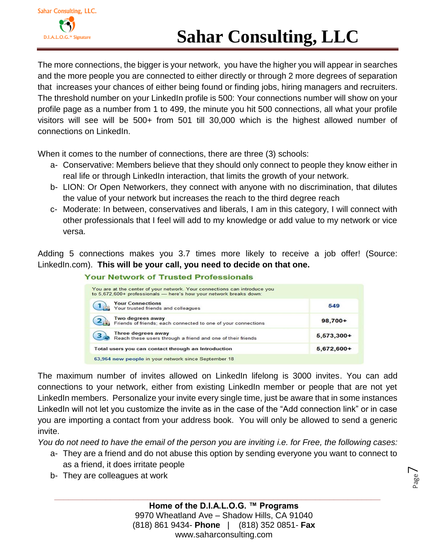# **Sahar Consulting, LLC**

The more connections, the bigger is your network, you have the higher you will appear in searches and the more people you are connected to either directly or through 2 more degrees of separation that increases your chances of either being found or finding jobs, hiring managers and recruiters. The threshold number on your LinkedIn profile is 500: Your connections number will show on your profile page as a number from 1 to 499, the minute you hit 500 connections, all what your profile visitors will see will be 500+ from 501 till 30,000 which is the highest allowed number of connections on LinkedIn.

When it comes to the number of connections, there are three (3) schools:

- a- Conservative: Members believe that they should only connect to people they know either in real life or through LinkedIn interaction, that limits the growth of your network.
- b- LION: Or Open Networkers, they connect with anyone with no discrimination, that dilutes the value of your network but increases the reach to the third degree reach
- c- Moderate: In between, conservatives and liberals, I am in this category, I will connect with other professionals that I feel will add to my knowledge or add value to my network or vice versa.

Adding 5 connections makes you 3.7 times more likely to receive a job offer! (Source: LinkedIn.com). **This will be your call, you need to decide on that one.**

| You are at the center of your network. Your connections can introduce you<br>to 5,672,600+ professionals - here's how your network breaks down: |              |
|-------------------------------------------------------------------------------------------------------------------------------------------------|--------------|
| <b>Your Connections</b><br>Your trusted friends and colleagues                                                                                  | 549          |
| Two degrees away<br>Friends of friends; each connected to one of your connections                                                               | $98,700+$    |
| Three degrees away<br>Reach these users through a friend and one of their friends                                                               | $5,573,300+$ |
| Total users you can contact through an Introduction                                                                                             | $5,672,600+$ |
| 63,964 new people in your network since September 18                                                                                            |              |

#### **Your Network of Trusted Professionals**

The maximum number of invites allowed on LinkedIn lifelong is 3000 invites. You can add connections to your network, either from existing LinkedIn member or people that are not yet LinkedIn members. Personalize your invite every single time, just be aware that in some instances LinkedIn will not let you customize the invite as in the case of the "Add connection link" or in case you are importing a contact from your address book. You will only be allowed to send a generic invite.

*You do not need to have the email of the person you are inviting i.e. for Free, the following cases:*

- a- They are a friend and do not abuse this option by sending everyone you want to connect to as a friend, it does irritate people
- b- They are colleagues at work

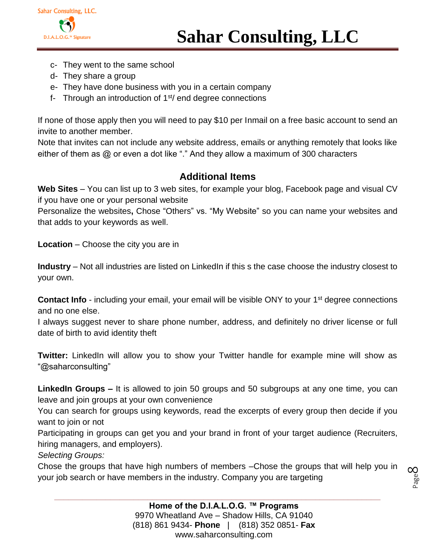- c- They went to the same school
- d- They share a group
- e- They have done business with you in a certain company
- f- Through an introduction of  $1<sup>st</sup>/$  end degree connections

If none of those apply then you will need to pay \$10 per Inmail on a free basic account to send an invite to another member.

Note that invites can not include any website address, emails or anything remotely that looks like either of them as @ or even a dot like "." And they allow a maximum of 300 characters

### **Additional Items**

**Web Sites** – You can list up to 3 web sites, for example your blog, Facebook page and visual CV if you have one or your personal website

Personalize the websites**,** Chose "Others" vs. "My Website" so you can name your websites and that adds to your keywords as well.

**Location** – Choose the city you are in

**Industry** – Not all industries are listed on LinkedIn if this s the case choose the industry closest to your own.

**Contact Info** - including your email, your email will be visible ONY to your 1<sup>st</sup> degree connections and no one else.

I always suggest never to share phone number, address, and definitely no driver license or full date of birth to avid identity theft

**Twitter:** LinkedIn will allow you to show your Twitter handle for example mine will show as "@saharconsulting"

**LinkedIn Groups –** It is allowed to join 50 groups and 50 subgroups at any one time, you can leave and join groups at your own convenience

You can search for groups using keywords, read the excerpts of every group then decide if you want to join or not

Participating in groups can get you and your brand in front of your target audience (Recruiters, hiring managers, and employers).

*Selecting Groups:*

Chose the groups that have high numbers of members –Chose the groups that will help you in your job search or have members in the industry. Company you are targeting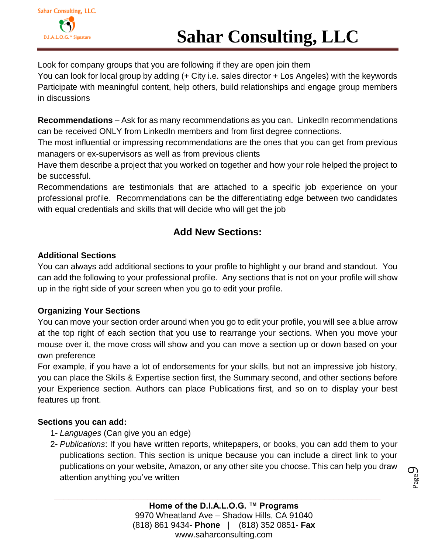Look for company groups that you are following if they are open join them

You can look for local group by adding (+ City i.e. sales director + Los Angeles) with the keywords Participate with meaningful content, help others, build relationships and engage group members in discussions

**Recommendations** – Ask for as many recommendations as you can. LinkedIn recommendations can be received ONLY from LinkedIn members and from first degree connections.

The most influential or impressing recommendations are the ones that you can get from previous managers or ex-supervisors as well as from previous clients

Have them describe a project that you worked on together and how your role helped the project to be successful.

Recommendations are testimonials that are attached to a specific job experience on your professional profile. Recommendations can be the differentiating edge between two candidates with equal credentials and skills that will decide who will get the job

### **Add New Sections:**

#### **Additional Sections**

You can always add additional sections to your profile to highlight y our brand and standout. You can add the following to your professional profile. Any sections that is not on your profile will show up in the right side of your screen when you go to edit your profile.

### **Organizing Your Sections**

You can move your section order around when you go to edit your profile, you will see a blue arrow at the top right of each section that you use to rearrange your sections. When you move your mouse over it, the move cross will show and you can move a section up or down based on your own preference

For example, if you have a lot of endorsements for your skills, but not an impressive job history, you can place the Skills & Expertise section first, the Summary second, and other sections before your Experience section. Authors can place Publications first, and so on to display your best features up front.

#### **Sections you can add:**

- 1- *Languages* (Can give you an edge)
- 2- *Publications*: If you have written reports, whitepapers, or books, you can add them to your publications section. This section is unique because you can include a direct link to your publications on your website, Amazon, or any other site you choose. This can help you draw attention anything you've written

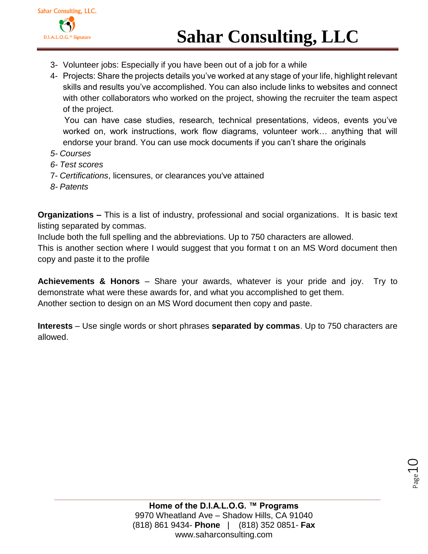- 3- Volunteer jobs: Especially if you have been out of a job for a while
- 4- Projects: Share the projects details you've worked at any stage of your life, highlight relevant skills and results you've accomplished. You can also include links to websites and connect with other collaborators who worked on the project, showing the recruiter the team aspect of the project.

 You can have case studies, research, technical presentations, videos, events you've worked on, work instructions, work flow diagrams, volunteer work… anything that will endorse your brand. You can use mock documents if you can't share the originals

- *5- Courses*
- *6- Test scores*
- 7- *Certifications*, licensures, or clearances you've attained
- *8- Patents*

**Organizations –** This is a list of industry, professional and social organizations. It is basic text listing separated by commas.

Include both the full spelling and the abbreviations. Up to 750 characters are allowed.

This is another section where I would suggest that you format t on an MS Word document then copy and paste it to the profile

**Achievements & Honors** – Share your awards, whatever is your pride and joy. Try to demonstrate what were these awards for, and what you accomplished to get them. Another section to design on an MS Word document then copy and paste.

**Interests** – Use single words or short phrases **separated by commas**. Up to 750 characters are allowed.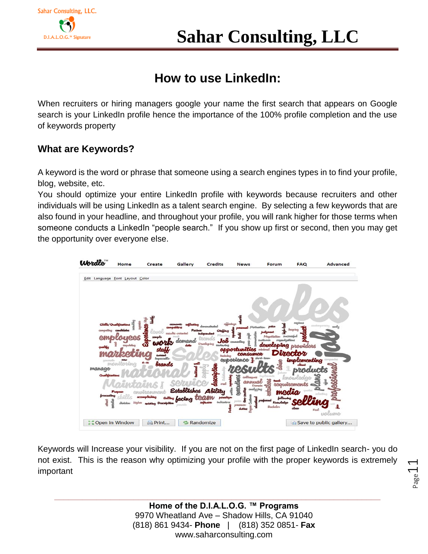# **How to use LinkedIn:**

When recruiters or hiring managers google your name the first search that appears on Google search is your LinkedIn profile hence the importance of the 100% profile completion and the use of keywords property

### **What are Keywords?**

A keyword is the word or phrase that someone using a search engines types in to find your profile, blog, website, etc.

You should optimize your entire LinkedIn profile with keywords because recruiters and other individuals will be using LinkedIn as a talent search engine. By selecting a few keywords that are also found in your headline, and throughout your profile, you will rank higher for those terms when someone conducts a LinkedIn "people search." If you show up first or second, then you may get the opportunity over everyone else.



Keywords will Increase your visibility. If you are not on the first page of LinkedIn search- you do not exist. This is the reason why optimizing your profile with the proper keywords is extremely important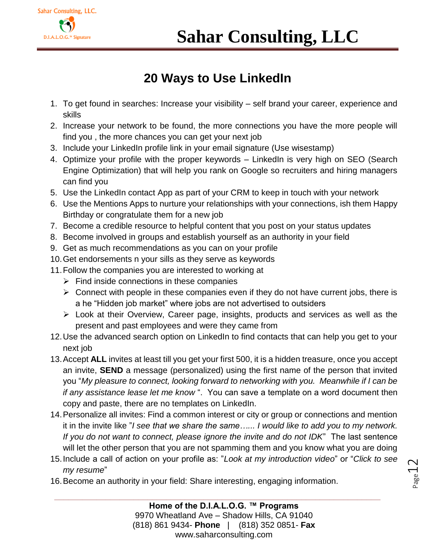

# **20 Ways to Use LinkedIn**

- 1. To get found in searches: Increase your visibility self brand your career, experience and skills
- 2. Increase your network to be found, the more connections you have the more people will find you , the more chances you can get your next job
- 3. Include your LinkedIn profile link in your email signature (Use wisestamp)
- 4. Optimize your profile with the proper keywords LinkedIn is very high on SEO (Search Engine Optimization) that will help you rank on Google so recruiters and hiring managers can find you
- 5. Use the LinkedIn contact App as part of your CRM to keep in touch with your network
- 6. Use the Mentions Apps to nurture your relationships with your connections, ish them Happy Birthday or congratulate them for a new job
- 7. Become a credible resource to helpful content that you post on your status updates
- 8. Become involved in groups and establish yourself as an authority in your field
- 9. Get as much recommendations as you can on your profile
- 10.Get endorsements n your sills as they serve as keywords
- 11.Follow the companies you are interested to working at
	- $\triangleright$  Find inside connections in these companies
	- $\triangleright$  Connect with people in these companies even if they do not have current jobs, there is a he "Hidden job market" where jobs are not advertised to outsiders
	- Look at their Overview, Career page, insights, products and services as well as the present and past employees and were they came from
- 12.Use the advanced search option on LinkedIn to find contacts that can help you get to your next job
- 13.Accept **ALL** invites at least till you get your first 500, it is a hidden treasure, once you accept an invite, **SEND** a message (personalized) using the first name of the person that invited you "*My pleasure to connect, looking forward to networking with you. Meanwhile if I can be if any assistance lease let me know* ". You can save a template on a word document then copy and paste, there are no templates on LinkedIn.
- 14.Personalize all invites: Find a common interest or city or group or connections and mention it in the invite like "*I see that we share the same…... I would like to add you to my network. If you do not want to connect, please ignore the invite and do not IDK*" The last sentence will let the other person that you are not spamming them and you know what you are doing
- 15.Include a call of action on your profile as: "*Look at my introduction video*" or "*Click to see my resume*"

**\_\_\_\_\_\_\_\_\_\_\_\_\_\_\_\_\_\_\_\_\_\_\_\_\_\_\_\_\_\_\_\_\_\_\_\_\_\_\_\_\_\_\_\_\_\_\_\_\_\_\_\_\_\_\_\_\_\_\_\_\_\_\_\_\_\_\_\_\_\_**

16.Become an authority in your field: Share interesting, engaging information.

 $_{\rm Page}$ 12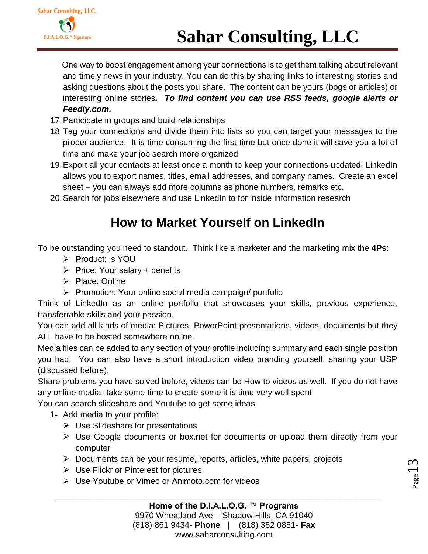One way to boost engagement among your connections is to get them talking about relevant and timely news in your industry. You can do this by sharing links to interesting stories and asking questions about the posts you share. The content can be yours (bogs or articles) or interesting online stories*. To find content you can use RSS feeds, google alerts or Feedly.com.*

- 17.Participate in groups and build relationships
- 18.Tag your connections and divide them into lists so you can target your messages to the proper audience. It is time consuming the first time but once done it will save you a lot of time and make your job search more organized
- 19.Export all your contacts at least once a month to keep your connections updated, LinkedIn allows you to export names, titles, email addresses, and company names. Create an excel sheet – you can always add more columns as phone numbers, remarks etc.
- 20.Search for jobs elsewhere and use LinkedIn to for inside information research

# **How to Market Yourself on LinkedIn**

To be outstanding you need to standout. Think like a marketer and the marketing mix the **4Ps**:

- **P**roduct: is YOU
- **P**rice: Your salary + benefits
- **P**lace: Online
- **P**romotion: Your online social media campaign/ portfolio

Think of LinkedIn as an online portfolio that showcases your skills, previous experience, transferrable skills and your passion.

You can add all kinds of media: Pictures, PowerPoint presentations, videos, documents but they ALL have to be hosted somewhere online.

Media files can be added to any section of your profile including summary and each single position you had. You can also have a short introduction video branding yourself, sharing your USP (discussed before).

Share problems you have solved before, videos can be How to videos as well. If you do not have any online media- take some time to create some it is time very well spent

You can search slideshare and Youtube to get some ideas

- 1- Add media to your profile:
	- $\triangleright$  Use Slideshare for presentations
	- Use Google documents or box.net for documents or upload them directly from your computer
	- $\triangleright$  Documents can be your resume, reports, articles, white papers, projects
	- $\triangleright$  Use Flickr or Pinterest for pictures
	- Use Youtube or Vimeo or Animoto.com for videos

 $_{\rm page}$ 13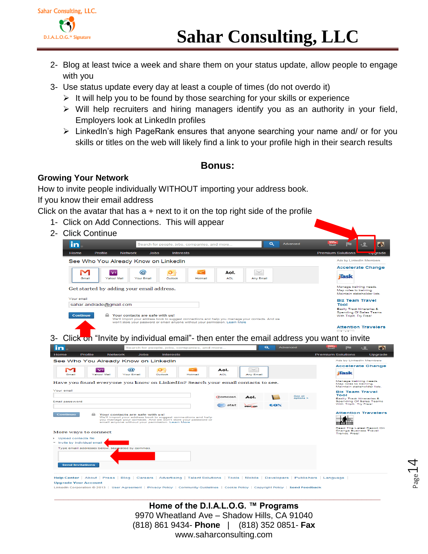

- 2- Blog at least twice a week and share them on your status update, allow people to engage with you
- 3- Use status update every day at least a couple of times (do not overdo it)
	- $\triangleright$  It will help you to be found by those searching for your skills or experience
	- Will help recruiters and hiring managers identify you as an authority in your field, Employers look at LinkedIn profiles
	- LinkedIn's high PageRank ensures that anyone searching your name and/ or for you skills or titles on the web will likely find a link to your profile high in their search results

#### **Bonus:**

#### **Growing Your Network**

How to invite people individually WITHOUT importing your address book.

If you know their email address

Click on the avatar that has  $a +$  next to it on the top right side of the profile

- 1- Click on Add Connections. This will appear
- 2- Click Continue



**Upgrade Your Account**  $\frac{d \ln C}{d}$ n © 2013 | User Agreement | Privacy Policy | Community Guidelines | Cookie Policy | Copyright Policy | **Send Feedback**   $P_{\text{age}}14$